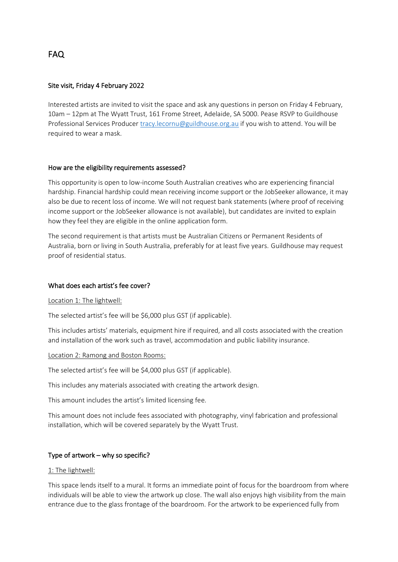# FAQ

### Site visit, Friday 4 February 2022

Interested artists are invited to visit the space and ask any questions in person on Friday 4 February, 10am – 12pm at The Wyatt Trust, 161 Frome Street, Adelaide, SA 5000. Pease RSVP to Guildhouse Professional Services Produce[r tracy.lecornu@guildhouse.org.au](mailto:tracy.lecornu@guildhouse.org.au) if you wish to attend. You will be required to wear a mask.

#### How are the eligibility requirements assessed?

This opportunity is open to low-income South Australian creatives who are experiencing financial hardship. Financial hardship could mean receiving income support or the JobSeeker allowance, it may also be due to recent loss of income. We will not request bank statements (where proof of receiving income support or the JobSeeker allowance is not available), but candidates are invited to explain how they feel they are eligible in the online application form.

The second requirement is that artists must be Australian Citizens or Permanent Residents of Australia, born or living in South Australia, preferably for at least five years. Guildhouse may request proof of residential status.

#### What does each artist's fee cover?

#### Location 1: The lightwell:

The selected artist's fee will be \$6,000 plus GST (if applicable).

This includes artists' materials, equipment hire if required, and all costs associated with the creation and installation of the work such as travel, accommodation and public liability insurance.

#### Location 2: Ramong and Boston Rooms:

The selected artist's fee will be \$4,000 plus GST (if applicable).

This includes any materials associated with creating the artwork design.

This amount includes the artist's limited licensing fee.

This amount does not include fees associated with photography, vinyl fabrication and professional installation, which will be covered separately by the Wyatt Trust.

#### Type of artwork – why so specific?

#### 1: The lightwell:

This space lends itself to a mural. It forms an immediate point of focus for the boardroom from where individuals will be able to view the artwork up close. The wall also enjoys high visibility from the main entrance due to the glass frontage of the boardroom. For the artwork to be experienced fully from